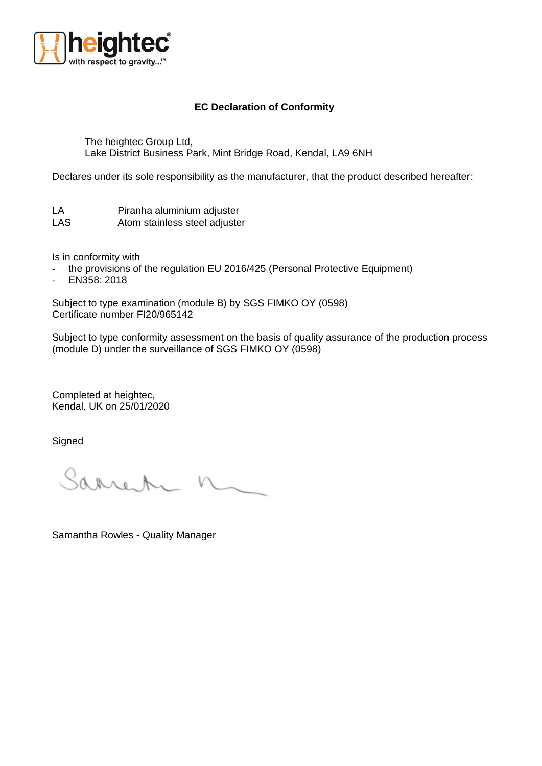

## **EC Declaration of Conformity**

The heightec Group Ltd, Lake District Business Park, Mint Bridge Road, Kendal, LA9 6NH

Declares under its sole responsibility as the manufacturer, that the product described hereafter:

| LA         | Piranha aluminium adjuster    |
|------------|-------------------------------|
| <b>LAS</b> | Atom stainless steel adjuster |

Is in conformity with

- the provisions of the regulation EU 2016/425 (Personal Protective Equipment)
- EN358: 2018

Subject to type examination (module B) by SGS FIMKO OY (0598) Certificate number FI20/965142

Subject to type conformity assessment on the basis of quality assurance of the production process (module D) under the surveillance of SGS FIMKO OY (0598)

Completed at heightec, Kendal, UK on 25/01/2020

Signed

Sarren n

Samantha Rowles - Quality Manager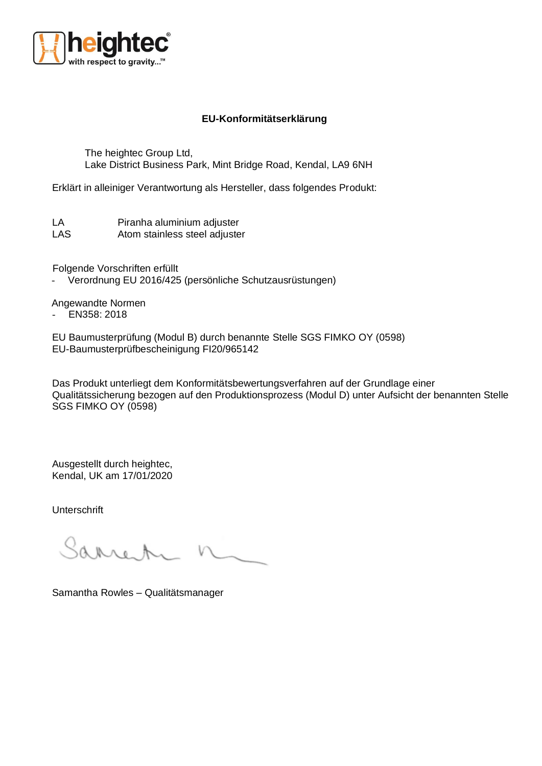

## **EU-Konformitätserklärung**

The heightec Group Ltd, Lake District Business Park, Mint Bridge Road, Kendal, LA9 6NH

Erklärt in alleiniger Verantwortung als Hersteller, dass folgendes Produkt:

LA Piranha aluminium adjuster LAS Atom stainless steel adjuster

Folgende Vorschriften erfüllt

- Verordnung EU 2016/425 (persönliche Schutzausrüstungen)

Angewandte Normen

- EN358: 2018

EU Baumusterprüfung (Modul B) durch benannte Stelle SGS FIMKO OY (0598) EU-Baumusterprüfbescheinigung FI20/965142

Das Produkt unterliegt dem Konformitätsbewertungsverfahren auf der Grundlage einer Qualitätssicherung bezogen auf den Produktionsprozess (Modul D) unter Aufsicht der benannten Stelle SGS FIMKO OY (0598)

Ausgestellt durch heightec, Kendal, UK am 17/01/2020

Unterschrift

Sarrot.

Samantha Rowles – Qualitätsmanager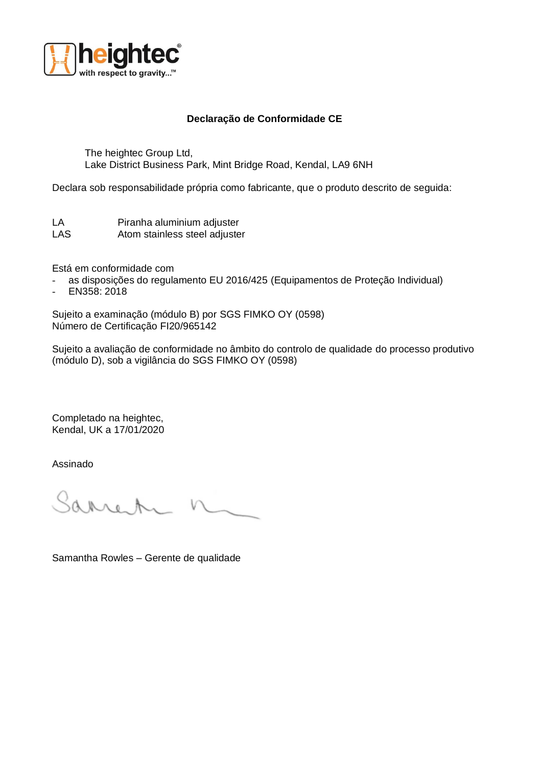

## **Declaração de Conformidade CE**

The heightec Group Ltd, Lake District Business Park, Mint Bridge Road, Kendal, LA9 6NH

Declara sob responsabilidade própria como fabricante, que o produto descrito de seguida:

LA Piranha aluminium adjuster LAS Atom stainless steel adjuster

Está em conformidade com

- as disposições do regulamento EU 2016/425 (Equipamentos de Proteção Individual)
- EN358: 2018

Sujeito a examinação (módulo B) por SGS FIMKO OY (0598) Número de Certificação FI20/965142

Sujeito a avaliação de conformidade no âmbito do controlo de qualidade do processo produtivo (módulo D), sob a vigilância do SGS FIMKO OY (0598)

Completado na heightec, Kendal, UK a 17/01/2020

Assinado

Sarren

Samantha Rowles – Gerente de qualidade